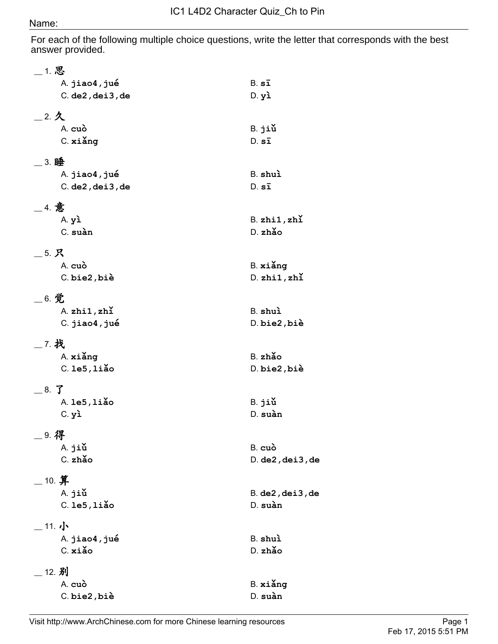## Name:

For each of the following multiple choice questions, write the letter that corresponds with the best answer provided.

| 1. 思                       |                            |
|----------------------------|----------------------------|
| A. jiao4, jué              | $B. s\bar{1}$              |
| $C.$ de $2$ , dei $3$ , de | $D.$ $y\lambda$            |
| 2.2                        |                            |
| A. cuò                     | B. jiǔ                     |
| C. xiǎng                   | $D. s\bar{1}$              |
| 3. 睡                       |                            |
| A. jiao4, jué              | B. shuì                    |
| $C.$ de $2$ , dei $3$ , de | $D. s\bar{1}$              |
| _4. 意                      |                            |
| A.yì                       | $B.$ zhi $1,$ zhi          |
| C. suàn                    | D. zhǎo                    |
| 5. 只                       |                            |
| A. cuò                     | B. xiǎng                   |
| C. bie2, biè               | $D.$ zhi $1,$ zhi          |
| $\_$ 6. 觉                  |                            |
| $A.$ zhi $1.$ zhi          | B. shuì                    |
| C. jiao4, jué              | D. bie2, biè               |
| 7. 找                       |                            |
| A. xiǎng                   | B. zhǎo                    |
| $C.$ le $5,$ liǎo          | D. bie2, biè               |
| 8. 了                       |                            |
| A. 1e5, 1iǎo               | B. jiǔ                     |
| $C.$ $y1$                  | D. suàn                    |
| _9. 得                      |                            |
| A. jiǔ                     | B. cuò                     |
| C. zhǎo                    | $D.$ de $2$ , dei $3$ , de |
| $\_$ 10. 算                 |                            |
| A. jiǔ                     | $B.$ de $2$ , dei $3$ , de |
| $C.$ le $5$ , liǎo         | D. suàn                    |
| _11. 小                     |                            |
| A. jiao4, jué              | B. shuì                    |
| C. xiǎo                    | D. zhǎo                    |
| __ 12. 别                   |                            |
| A. cuò                     | B. xiǎng                   |
| C. bie2, biè               | D. suàn                    |